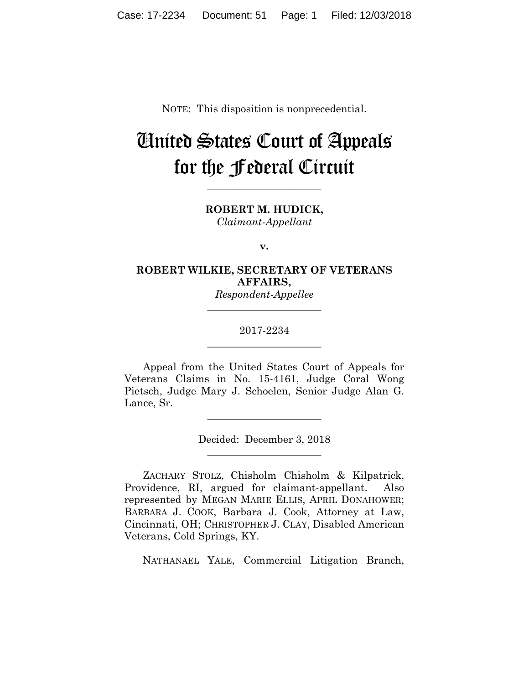NOTE: This disposition is nonprecedential.

# United States Court of Appeals for the Federal Circuit

**ROBERT M. HUDICK,** *Claimant-Appellant*

**\_\_\_\_\_\_\_\_\_\_\_\_\_\_\_\_\_\_\_\_\_\_** 

**v.**

# **ROBERT WILKIE, SECRETARY OF VETERANS AFFAIRS,**

*Respondent-Appellee* **\_\_\_\_\_\_\_\_\_\_\_\_\_\_\_\_\_\_\_\_\_\_** 

# 2017-2234 **\_\_\_\_\_\_\_\_\_\_\_\_\_\_\_\_\_\_\_\_\_\_**

Appeal from the United States Court of Appeals for Veterans Claims in No. 15-4161, Judge Coral Wong Pietsch, Judge Mary J. Schoelen, Senior Judge Alan G. Lance, Sr.

> Decided: December 3, 2018 **\_\_\_\_\_\_\_\_\_\_\_\_\_\_\_\_\_\_\_\_\_\_**

**\_\_\_\_\_\_\_\_\_\_\_\_\_\_\_\_\_\_\_\_\_\_** 

ZACHARY STOLZ, Chisholm Chisholm & Kilpatrick, Providence, RI, argued for claimant-appellant. Also represented by MEGAN MARIE ELLIS, APRIL DONAHOWER; BARBARA J. COOK, Barbara J. Cook, Attorney at Law, Cincinnati, OH; CHRISTOPHER J. CLAY, Disabled American Veterans, Cold Springs, KY.

NATHANAEL YALE, Commercial Litigation Branch,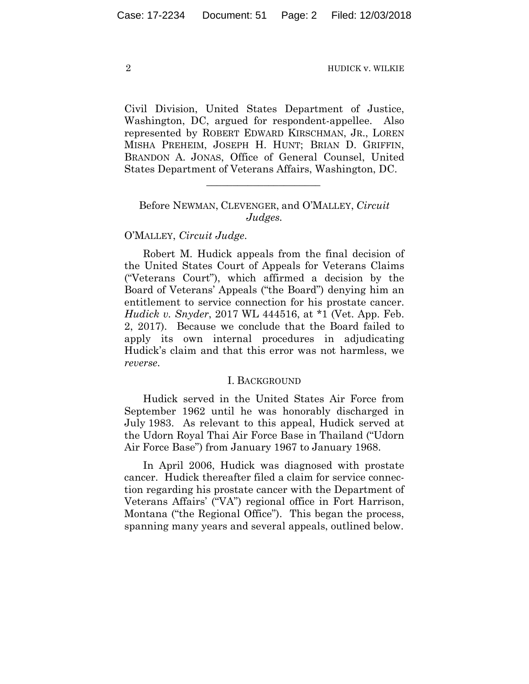Civil Division, United States Department of Justice, Washington, DC, argued for respondent-appellee. Also represented by ROBERT EDWARD KIRSCHMAN, JR., LOREN MISHA PREHEIM, JOSEPH H. HUNT; BRIAN D. GRIFFIN, BRANDON A. JONAS, Office of General Counsel, United States Department of Veterans Affairs, Washington, DC.

# Before NEWMAN, CLEVENGER, and O'MALLEY, *Circuit Judges.*

 $\mathcal{L}_\text{max}$  and  $\mathcal{L}_\text{max}$  and  $\mathcal{L}_\text{max}$  and  $\mathcal{L}_\text{max}$ 

### O'MALLEY, *Circuit Judge*.

Robert M. Hudick appeals from the final decision of the United States Court of Appeals for Veterans Claims ("Veterans Court"), which affirmed a decision by the Board of Veterans' Appeals ("the Board") denying him an entitlement to service connection for his prostate cancer. *Hudick v. Snyder*, 2017 WL 444516, at \*1 (Vet. App. Feb. 2, 2017). Because we conclude that the Board failed to apply its own internal procedures in adjudicating Hudick's claim and that this error was not harmless, we *reverse*.

#### I. BACKGROUND

Hudick served in the United States Air Force from September 1962 until he was honorably discharged in July 1983. As relevant to this appeal, Hudick served at the Udorn Royal Thai Air Force Base in Thailand ("Udorn Air Force Base") from January 1967 to January 1968.

In April 2006, Hudick was diagnosed with prostate cancer. Hudick thereafter filed a claim for service connection regarding his prostate cancer with the Department of Veterans Affairs' ("VA") regional office in Fort Harrison, Montana ("the Regional Office"). This began the process, spanning many years and several appeals, outlined below.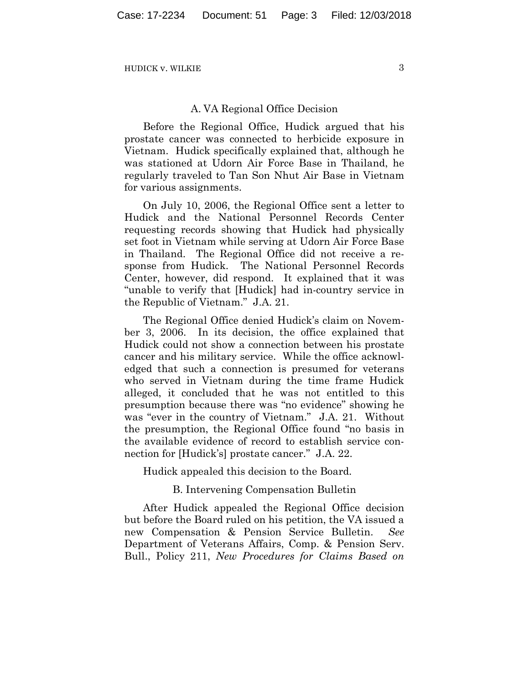#### A. VA Regional Office Decision

Before the Regional Office, Hudick argued that his prostate cancer was connected to herbicide exposure in Vietnam. Hudick specifically explained that, although he was stationed at Udorn Air Force Base in Thailand, he regularly traveled to Tan Son Nhut Air Base in Vietnam for various assignments.

On July 10, 2006, the Regional Office sent a letter to Hudick and the National Personnel Records Center requesting records showing that Hudick had physically set foot in Vietnam while serving at Udorn Air Force Base in Thailand. The Regional Office did not receive a response from Hudick. The National Personnel Records Center, however, did respond. It explained that it was "unable to verify that [Hudick] had in-country service in the Republic of Vietnam." J.A. 21.

The Regional Office denied Hudick's claim on November 3, 2006. In its decision, the office explained that Hudick could not show a connection between his prostate cancer and his military service. While the office acknowledged that such a connection is presumed for veterans who served in Vietnam during the time frame Hudick alleged, it concluded that he was not entitled to this presumption because there was "no evidence" showing he was "ever in the country of Vietnam." J.A. 21. Without the presumption, the Regional Office found "no basis in the available evidence of record to establish service connection for [Hudick's] prostate cancer." J.A. 22.

Hudick appealed this decision to the Board.

B. Intervening Compensation Bulletin

After Hudick appealed the Regional Office decision but before the Board ruled on his petition, the VA issued a new Compensation & Pension Service Bulletin. *See*  Department of Veterans Affairs, Comp. & Pension Serv. Bull., Policy 211, *New Procedures for Claims Based on*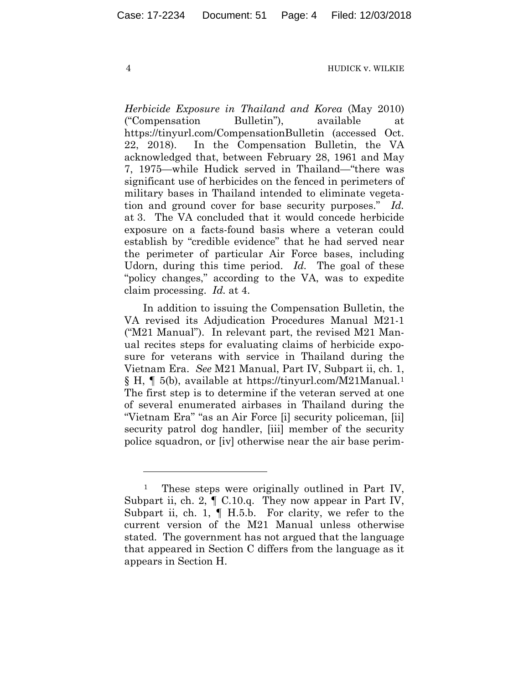*Herbicide Exposure in Thailand and Korea* (May 2010) ("Compensation Bulletin"), available at https://tinyurl.com/CompensationBulletin (accessed Oct. 22, 2018). In the Compensation Bulletin, the VA acknowledged that, between February 28, 1961 and May 7, 1975—while Hudick served in Thailand—"there was significant use of herbicides on the fenced in perimeters of military bases in Thailand intended to eliminate vegetation and ground cover for base security purposes." *Id.* at 3. The VA concluded that it would concede herbicide exposure on a facts-found basis where a veteran could establish by "credible evidence" that he had served near the perimeter of particular Air Force bases, including Udorn, during this time period. *Id.* The goal of these "policy changes," according to the VA, was to expedite claim processing. *Id.* at 4.

In addition to issuing the Compensation Bulletin, the VA revised its Adjudication Procedures Manual M21-1 ("M21 Manual"). In relevant part, the revised M21 Manual recites steps for evaluating claims of herbicide exposure for veterans with service in Thailand during the Vietnam Era. *See* M21 Manual, Part IV, Subpart ii, ch. 1, § H, ¶ 5(b), available at https://tinyurl.com/M21Manual.1 The first step is to determine if the veteran served at one of several enumerated airbases in Thailand during the "Vietnam Era" "as an Air Force [i] security policeman, [ii] security patrol dog handler, [iii] member of the security police squadron, or [iv] otherwise near the air base perim-

<u>.</u>

These steps were originally outlined in Part IV, Subpart ii, ch. 2, ¶ C.10.q. They now appear in Part IV, Subpart ii, ch. 1, ¶ H.5.b. For clarity, we refer to the current version of the M21 Manual unless otherwise stated. The government has not argued that the language that appeared in Section C differs from the language as it appears in Section H.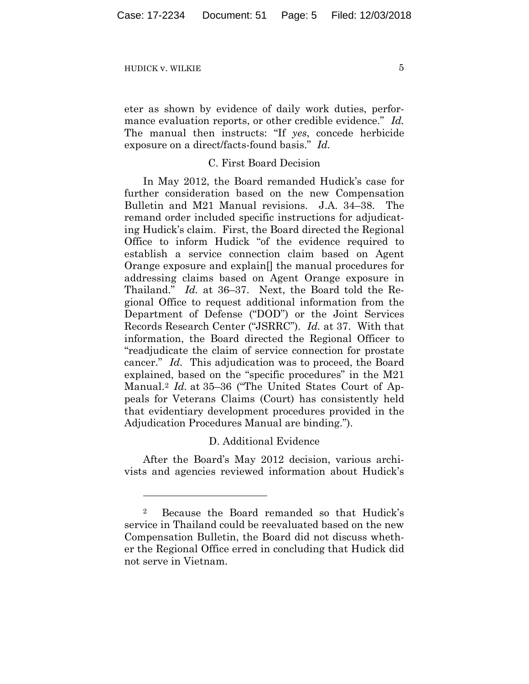1

eter as shown by evidence of daily work duties, performance evaluation reports, or other credible evidence." *Id.* The manual then instructs: "If *yes*, concede herbicide exposure on a direct/facts-found basis." *Id.*

# C. First Board Decision

In May 2012, the Board remanded Hudick's case for further consideration based on the new Compensation Bulletin and M21 Manual revisions. J.A. 34–38. The remand order included specific instructions for adjudicating Hudick's claim. First, the Board directed the Regional Office to inform Hudick "of the evidence required to establish a service connection claim based on Agent Orange exposure and explain[] the manual procedures for addressing claims based on Agent Orange exposure in Thailand." *Id.* at 36–37. Next, the Board told the Regional Office to request additional information from the Department of Defense ("DOD") or the Joint Services Records Research Center ("JSRRC"). *Id.* at 37. With that information, the Board directed the Regional Officer to "readjudicate the claim of service connection for prostate cancer." *Id.* This adjudication was to proceed, the Board explained, based on the "specific procedures" in the M21 Manual.2 *Id.* at 35–36 ("The United States Court of Appeals for Veterans Claims (Court) has consistently held that evidentiary development procedures provided in the Adjudication Procedures Manual are binding.").

## D. Additional Evidence

After the Board's May 2012 decision, various archivists and agencies reviewed information about Hudick's

<sup>2</sup> Because the Board remanded so that Hudick's service in Thailand could be reevaluated based on the new Compensation Bulletin, the Board did not discuss whether the Regional Office erred in concluding that Hudick did not serve in Vietnam.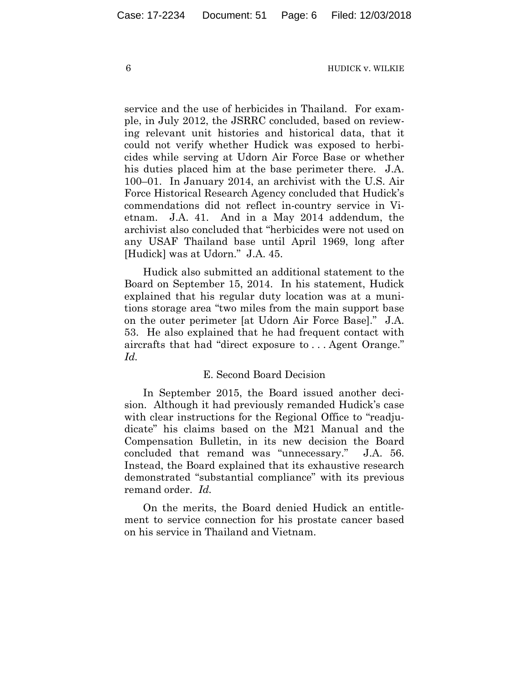service and the use of herbicides in Thailand. For example, in July 2012, the JSRRC concluded, based on reviewing relevant unit histories and historical data, that it could not verify whether Hudick was exposed to herbicides while serving at Udorn Air Force Base or whether his duties placed him at the base perimeter there. J.A. 100–01. In January 2014, an archivist with the U.S. Air Force Historical Research Agency concluded that Hudick's commendations did not reflect in-country service in Vietnam. J.A. 41. And in a May 2014 addendum, the archivist also concluded that "herbicides were not used on any USAF Thailand base until April 1969, long after [Hudick] was at Udorn." J.A. 45.

Hudick also submitted an additional statement to the Board on September 15, 2014. In his statement, Hudick explained that his regular duty location was at a munitions storage area "two miles from the main support base on the outer perimeter [at Udorn Air Force Base]." J.A. 53. He also explained that he had frequent contact with aircrafts that had "direct exposure to . . . Agent Orange." *Id.*

#### E. Second Board Decision

In September 2015, the Board issued another decision. Although it had previously remanded Hudick's case with clear instructions for the Regional Office to "readjudicate" his claims based on the M21 Manual and the Compensation Bulletin, in its new decision the Board concluded that remand was "unnecessary." J.A. 56. Instead, the Board explained that its exhaustive research demonstrated "substantial compliance" with its previous remand order. *Id.* 

On the merits, the Board denied Hudick an entitlement to service connection for his prostate cancer based on his service in Thailand and Vietnam.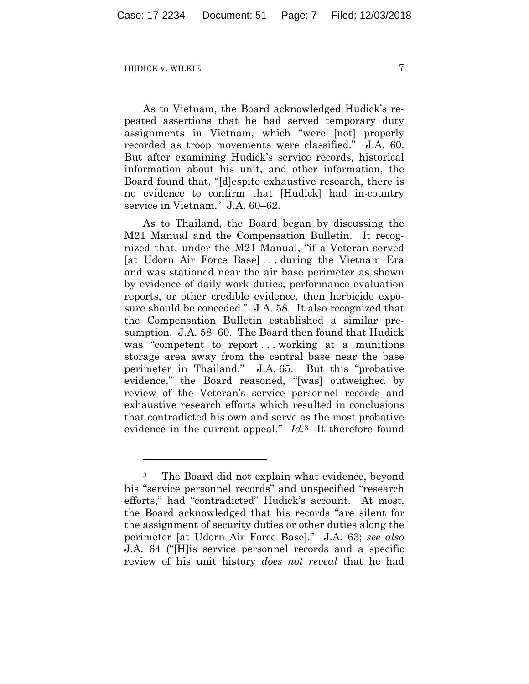1

As to Vietnam, the Board acknowledged Hudick's repeated assertions that he had served temporary duty assignments in Vietnam, which "were [not] properly recorded as troop movements were classified." J.A. 60. But after examining Hudick's service records, historical information about his unit, and other information, the Board found that, "[d]espite exhaustive research, there is no evidence to confirm that [Hudick] had in-country service in Vietnam." J.A. 60–62.

As to Thailand, the Board began by discussing the M21 Manual and the Compensation Bulletin. It recognized that, under the M21 Manual, "if a Veteran served [at Udorn Air Force Base] . . . during the Vietnam Era and was stationed near the air base perimeter as shown by evidence of daily work duties, performance evaluation reports, or other credible evidence, then herbicide exposure should be conceded." J.A. 58. It also recognized that the Compensation Bulletin established a similar presumption. J.A. 58–60. The Board then found that Hudick was "competent to report...working at a munitions" storage area away from the central base near the base perimeter in Thailand." J.A. 65. But this "probative evidence," the Board reasoned, "[was] outweighed by review of the Veteran's service personnel records and exhaustive research efforts which resulted in conclusions that contradicted his own and serve as the most probative evidence in the current appeal." *Id.*3 It therefore found

<sup>3</sup> The Board did not explain what evidence, beyond his "service personnel records" and unspecified "research efforts," had "contradicted" Hudick's account. At most, the Board acknowledged that his records "are silent for the assignment of security duties or other duties along the perimeter [at Udorn Air Force Base]." J.A. 63; *see also*  J.A. 64 ("[H]is service personnel records and a specific review of his unit history *does not reveal* that he had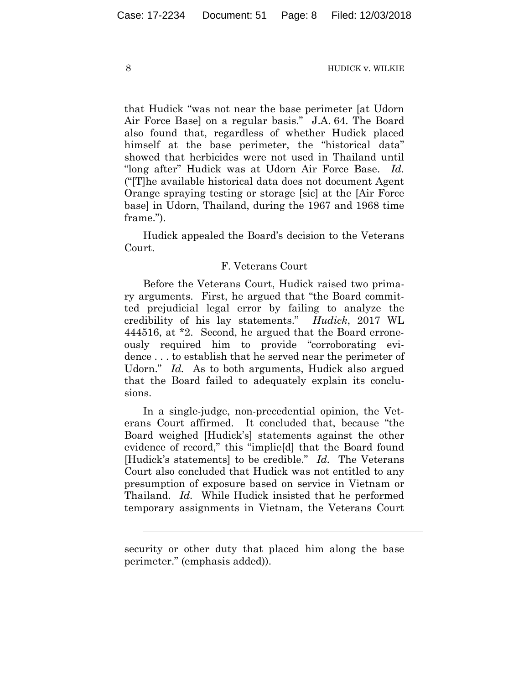that Hudick "was not near the base perimeter [at Udorn Air Force Base] on a regular basis." J.A. 64. The Board also found that, regardless of whether Hudick placed himself at the base perimeter, the "historical data" showed that herbicides were not used in Thailand until "long after" Hudick was at Udorn Air Force Base. *Id.* ("[T]he available historical data does not document Agent Orange spraying testing or storage [sic] at the [Air Force base] in Udorn, Thailand, during the 1967 and 1968 time frame.").

Hudick appealed the Board's decision to the Veterans Court.

# F. Veterans Court

Before the Veterans Court, Hudick raised two primary arguments. First, he argued that "the Board committed prejudicial legal error by failing to analyze the credibility of his lay statements." *Hudick*, 2017 WL 444516, at \*2. Second, he argued that the Board erroneously required him to provide "corroborating evidence . . . to establish that he served near the perimeter of Udorn." *Id.* As to both arguments, Hudick also argued that the Board failed to adequately explain its conclusions.

In a single-judge, non-precedential opinion, the Veterans Court affirmed. It concluded that, because "the Board weighed [Hudick's] statements against the other evidence of record," this "implie[d] that the Board found [Hudick's statements] to be credible." *Id.* The Veterans Court also concluded that Hudick was not entitled to any presumption of exposure based on service in Vietnam or Thailand. *Id.* While Hudick insisted that he performed temporary assignments in Vietnam, the Veterans Court

security or other duty that placed him along the base perimeter." (emphasis added)).

l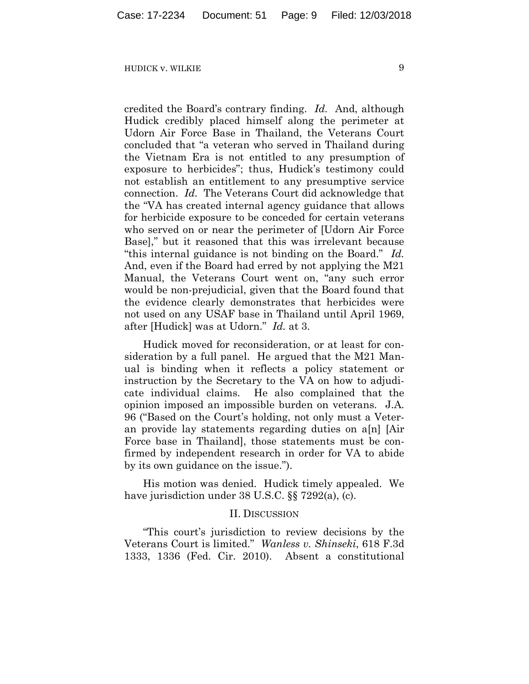credited the Board's contrary finding. *Id.* And, although Hudick credibly placed himself along the perimeter at Udorn Air Force Base in Thailand, the Veterans Court concluded that "a veteran who served in Thailand during the Vietnam Era is not entitled to any presumption of exposure to herbicides"; thus, Hudick's testimony could not establish an entitlement to any presumptive service connection. *Id.* The Veterans Court did acknowledge that the "VA has created internal agency guidance that allows for herbicide exposure to be conceded for certain veterans who served on or near the perimeter of [Udorn Air Force Base]," but it reasoned that this was irrelevant because "this internal guidance is not binding on the Board." *Id.* And, even if the Board had erred by not applying the M21 Manual, the Veterans Court went on, "any such error would be non-prejudicial, given that the Board found that the evidence clearly demonstrates that herbicides were not used on any USAF base in Thailand until April 1969, after [Hudick] was at Udorn." *Id.* at 3.

Hudick moved for reconsideration, or at least for consideration by a full panel. He argued that the M21 Manual is binding when it reflects a policy statement or instruction by the Secretary to the VA on how to adjudicate individual claims. He also complained that the opinion imposed an impossible burden on veterans. J.A. 96 ("Based on the Court's holding, not only must a Veteran provide lay statements regarding duties on a[n] [Air Force base in Thailand], those statements must be confirmed by independent research in order for VA to abide by its own guidance on the issue.").

His motion was denied. Hudick timely appealed. We have jurisdiction under 38 U.S.C. §§ 7292(a), (c).

#### II. DISCUSSION

"This court's jurisdiction to review decisions by the Veterans Court is limited." *Wanless v. Shinseki*, 618 F.3d 1333, 1336 (Fed. Cir. 2010). Absent a constitutional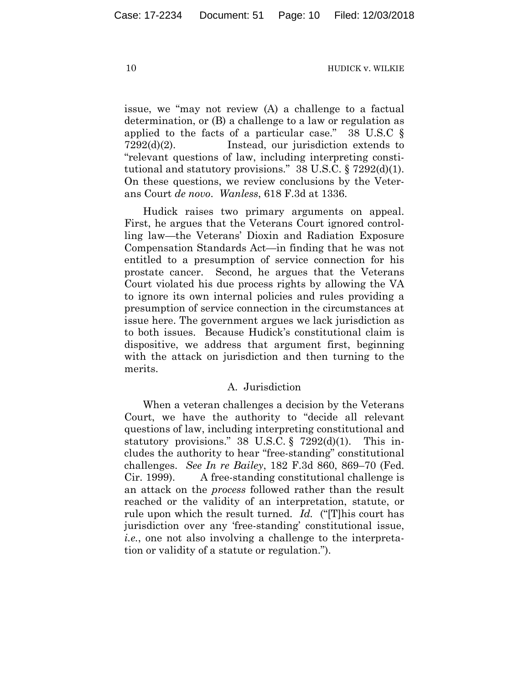issue, we "may not review (A) a challenge to a factual determination, or (B) a challenge to a law or regulation as applied to the facts of a particular case." 38 U.S.C § 7292(d)(2). Instead, our jurisdiction extends to "relevant questions of law, including interpreting constitutional and statutory provisions." 38 U.S.C. § 7292(d)(1). On these questions, we review conclusions by the Veterans Court *de novo*. *Wanless*, 618 F.3d at 1336.

Hudick raises two primary arguments on appeal. First, he argues that the Veterans Court ignored controlling law—the Veterans' Dioxin and Radiation Exposure Compensation Standards Act—in finding that he was not entitled to a presumption of service connection for his prostate cancer. Second, he argues that the Veterans Court violated his due process rights by allowing the VA to ignore its own internal policies and rules providing a presumption of service connection in the circumstances at issue here. The government argues we lack jurisdiction as to both issues. Because Hudick's constitutional claim is dispositive, we address that argument first, beginning with the attack on jurisdiction and then turning to the merits.

#### A. Jurisdiction

When a veteran challenges a decision by the Veterans Court, we have the authority to "decide all relevant questions of law, including interpreting constitutional and statutory provisions." 38 U.S.C. § 7292 $(d)(1)$ . This includes the authority to hear "free-standing" constitutional challenges. *See In re Bailey*, 182 F.3d 860, 869–70 (Fed. Cir. 1999). A free-standing constitutional challenge is an attack on the *process* followed rather than the result reached or the validity of an interpretation, statute, or rule upon which the result turned. *Id.* ("[T]his court has jurisdiction over any 'free-standing' constitutional issue, *i.e.*, one not also involving a challenge to the interpretation or validity of a statute or regulation.").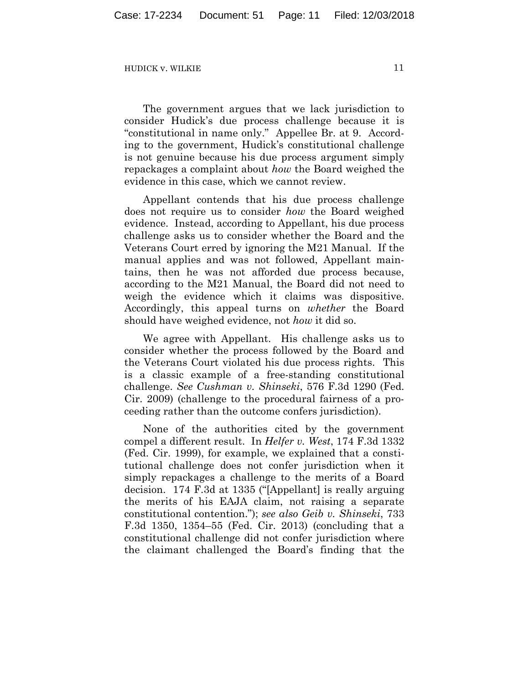The government argues that we lack jurisdiction to consider Hudick's due process challenge because it is "constitutional in name only." Appellee Br. at 9. According to the government, Hudick's constitutional challenge is not genuine because his due process argument simply repackages a complaint about *how* the Board weighed the evidence in this case, which we cannot review.

Appellant contends that his due process challenge does not require us to consider *how* the Board weighed evidence. Instead, according to Appellant, his due process challenge asks us to consider whether the Board and the Veterans Court erred by ignoring the M21 Manual. If the manual applies and was not followed, Appellant maintains, then he was not afforded due process because, according to the M21 Manual, the Board did not need to weigh the evidence which it claims was dispositive. Accordingly, this appeal turns on *whether* the Board should have weighed evidence, not *how* it did so.

We agree with Appellant. His challenge asks us to consider whether the process followed by the Board and the Veterans Court violated his due process rights. This is a classic example of a free-standing constitutional challenge. *See Cushman v. Shinseki*, 576 F.3d 1290 (Fed. Cir. 2009) (challenge to the procedural fairness of a proceeding rather than the outcome confers jurisdiction).

None of the authorities cited by the government compel a different result. In *Helfer v. West*, 174 F.3d 1332 (Fed. Cir. 1999), for example, we explained that a constitutional challenge does not confer jurisdiction when it simply repackages a challenge to the merits of a Board decision. 174 F.3d at 1335 ("[Appellant] is really arguing the merits of his EAJA claim, not raising a separate constitutional contention."); *see also Geib v. Shinseki*, 733 F.3d 1350, 1354–55 (Fed. Cir. 2013) (concluding that a constitutional challenge did not confer jurisdiction where the claimant challenged the Board's finding that the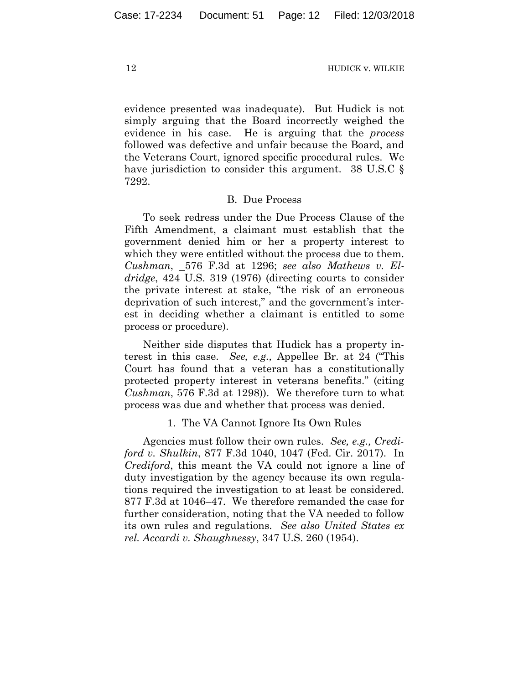evidence presented was inadequate). But Hudick is not simply arguing that the Board incorrectly weighed the evidence in his case. He is arguing that the *process* followed was defective and unfair because the Board, and the Veterans Court, ignored specific procedural rules. We have jurisdiction to consider this argument. 38 U.S.C § 7292.

### B. Due Process

To seek redress under the Due Process Clause of the Fifth Amendment, a claimant must establish that the government denied him or her a property interest to which they were entitled without the process due to them. *Cushman*, 576 F.3d at 1296; *see also Mathews v. Eldridge*, 424 U.S. 319 (1976) (directing courts to consider the private interest at stake, "the risk of an erroneous deprivation of such interest," and the government's interest in deciding whether a claimant is entitled to some process or procedure).

Neither side disputes that Hudick has a property interest in this case. *See, e.g.,* Appellee Br. at 24 ("This Court has found that a veteran has a constitutionally protected property interest in veterans benefits." (citing *Cushman*, 576 F.3d at 1298)). We therefore turn to what process was due and whether that process was denied.

### 1. The VA Cannot Ignore Its Own Rules

Agencies must follow their own rules. *See, e.g., Crediford v. Shulkin*, 877 F.3d 1040, 1047 (Fed. Cir. 2017). In *Crediford*, this meant the VA could not ignore a line of duty investigation by the agency because its own regulations required the investigation to at least be considered. 877 F.3d at 1046–47. We therefore remanded the case for further consideration, noting that the VA needed to follow its own rules and regulations. *See also United States ex rel. Accardi v. Shaughnessy*, 347 U.S. 260 (1954).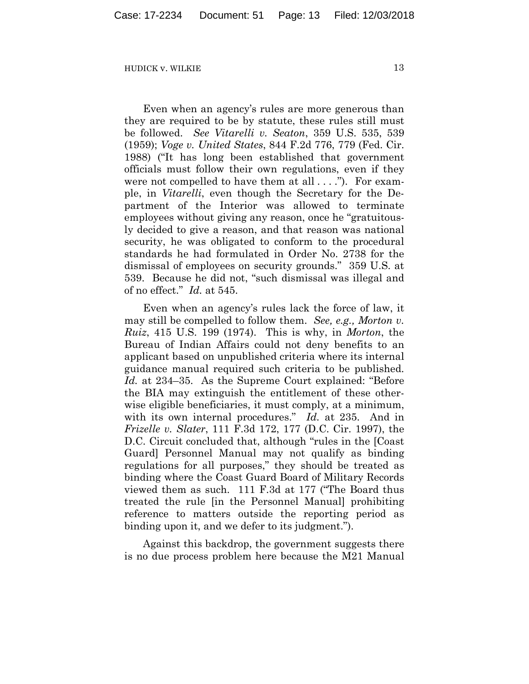Even when an agency's rules are more generous than they are required to be by statute, these rules still must be followed. *See Vitarelli v. Seaton*, 359 U.S. 535, 539 (1959); *Voge v. United States*, 844 F.2d 776, 779 (Fed. Cir. 1988) ("It has long been established that government officials must follow their own regulations, even if they were not compelled to have them at all . . . ."). For example, in *Vitarelli*, even though the Secretary for the Department of the Interior was allowed to terminate employees without giving any reason, once he "gratuitously decided to give a reason, and that reason was national security, he was obligated to conform to the procedural standards he had formulated in Order No. 2738 for the dismissal of employees on security grounds." 359 U.S. at 539. Because he did not, "such dismissal was illegal and of no effect." *Id.* at 545.

Even when an agency's rules lack the force of law, it may still be compelled to follow them. *See, e.g., Morton v. Ruiz*, 415 U.S. 199 (1974). This is why, in *Morton*, the Bureau of Indian Affairs could not deny benefits to an applicant based on unpublished criteria where its internal guidance manual required such criteria to be published. *Id.* at 234–35. As the Supreme Court explained: "Before the BIA may extinguish the entitlement of these otherwise eligible beneficiaries, it must comply, at a minimum, with its own internal procedures." *Id.* at 235. And in *Frizelle v. Slater*, 111 F.3d 172, 177 (D.C. Cir. 1997), the D.C. Circuit concluded that, although "rules in the [Coast Guard] Personnel Manual may not qualify as binding regulations for all purposes," they should be treated as binding where the Coast Guard Board of Military Records viewed them as such. 111 F.3d at 177 ("The Board thus treated the rule [in the Personnel Manual] prohibiting reference to matters outside the reporting period as binding upon it, and we defer to its judgment.").

Against this backdrop, the government suggests there is no due process problem here because the M21 Manual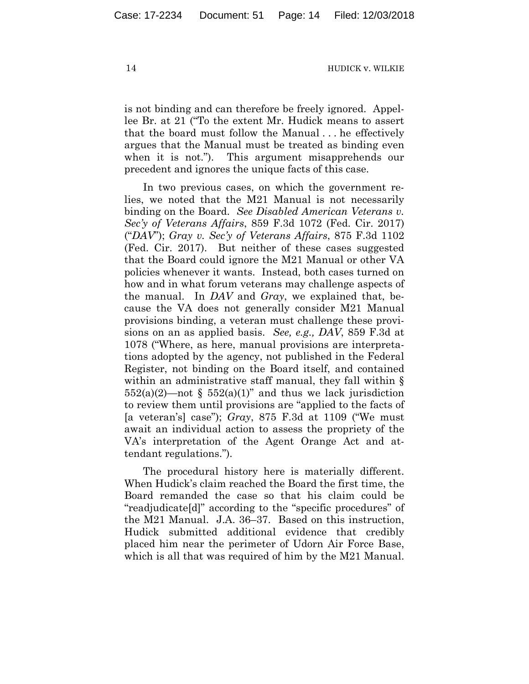is not binding and can therefore be freely ignored. Appellee Br. at 21 ("To the extent Mr. Hudick means to assert that the board must follow the Manual . . . he effectively argues that the Manual must be treated as binding even when it is not."). This argument misapprehends our precedent and ignores the unique facts of this case.

In two previous cases, on which the government relies, we noted that the M21 Manual is not necessarily binding on the Board. *See Disabled American Veterans v. Sec'y of Veterans Affairs*, 859 F.3d 1072 (Fed. Cir. 2017) ("*DAV*"); *Gray v. Sec'y of Veterans Affairs*, 875 F.3d 1102 (Fed. Cir. 2017). But neither of these cases suggested that the Board could ignore the M21 Manual or other VA policies whenever it wants. Instead, both cases turned on how and in what forum veterans may challenge aspects of the manual. In *DAV* and *Gray*, we explained that, because the VA does not generally consider M21 Manual provisions binding, a veteran must challenge these provisions on an as applied basis. *See, e.g., DAV*, 859 F.3d at 1078 ("Where, as here, manual provisions are interpretations adopted by the agency, not published in the Federal Register, not binding on the Board itself, and contained within an administrative staff manual, they fall within  $\S$  $552(a)(2)$ —not §  $552(a)(1)$ " and thus we lack jurisdiction to review them until provisions are "applied to the facts of [a veteran's] case"); *Gray*, 875 F.3d at 1109 ("We must await an individual action to assess the propriety of the VA's interpretation of the Agent Orange Act and attendant regulations.").

The procedural history here is materially different. When Hudick's claim reached the Board the first time, the Board remanded the case so that his claim could be "readjudicate[d]" according to the "specific procedures" of the M21 Manual. J.A. 36–37. Based on this instruction, Hudick submitted additional evidence that credibly placed him near the perimeter of Udorn Air Force Base, which is all that was required of him by the M21 Manual.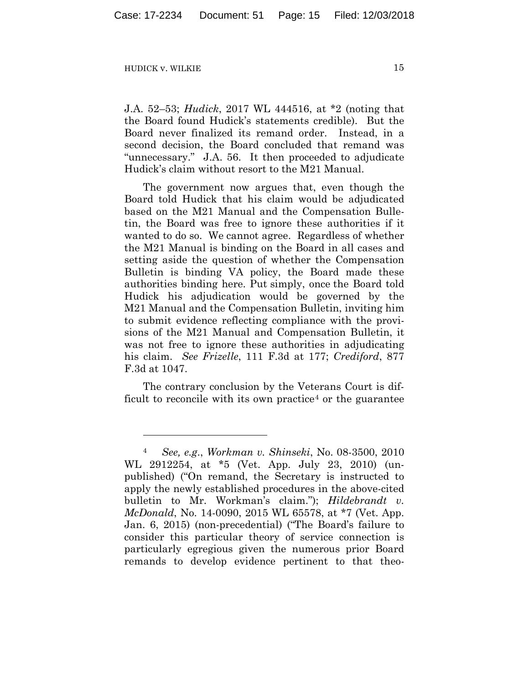<u>.</u>

J.A. 52–53; *Hudick*, 2017 WL 444516, at \*2 (noting that the Board found Hudick's statements credible). But the Board never finalized its remand order. Instead, in a second decision, the Board concluded that remand was "unnecessary." J.A. 56. It then proceeded to adjudicate Hudick's claim without resort to the M21 Manual.

The government now argues that, even though the Board told Hudick that his claim would be adjudicated based on the M21 Manual and the Compensation Bulletin, the Board was free to ignore these authorities if it wanted to do so. We cannot agree. Regardless of whether the M21 Manual is binding on the Board in all cases and setting aside the question of whether the Compensation Bulletin is binding VA policy, the Board made these authorities binding here. Put simply, once the Board told Hudick his adjudication would be governed by the M21 Manual and the Compensation Bulletin, inviting him to submit evidence reflecting compliance with the provisions of the M21 Manual and Compensation Bulletin, it was not free to ignore these authorities in adjudicating his claim. *See Frizelle*, 111 F.3d at 177; *Crediford*, 877 F.3d at 1047.

The contrary conclusion by the Veterans Court is difficult to reconcile with its own practice<sup>4</sup> or the guarantee

<sup>4</sup> *See, e.g*., *Workman v. Shinseki*, No. 08-3500, 2010 WL 2912254, at \*5 (Vet. App. July 23, 2010) (unpublished) ("On remand, the Secretary is instructed to apply the newly established procedures in the above-cited bulletin to Mr. Workman's claim."); *Hildebrandt v. McDonald*, No. 14-0090, 2015 WL 65578, at \*7 (Vet. App. Jan. 6, 2015) (non-precedential) ("The Board's failure to consider this particular theory of service connection is particularly egregious given the numerous prior Board remands to develop evidence pertinent to that theo-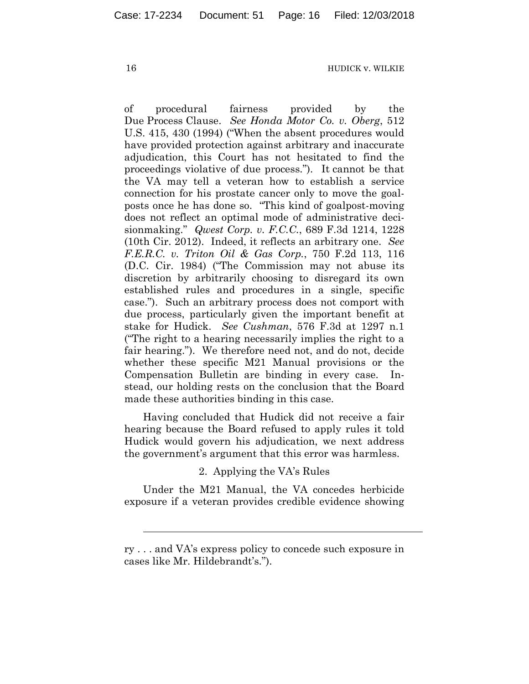of procedural fairness provided by the Due Process Clause. *See Honda Motor Co. v. Oberg*, 512 U.S. 415, 430 (1994) ("When the absent procedures would have provided protection against arbitrary and inaccurate adjudication, this Court has not hesitated to find the proceedings violative of due process."). It cannot be that the VA may tell a veteran how to establish a service connection for his prostate cancer only to move the goalposts once he has done so. "This kind of goalpost-moving does not reflect an optimal mode of administrative decisionmaking." *Qwest Corp. v. F.C.C.*, 689 F.3d 1214, 1228 (10th Cir. 2012). Indeed, it reflects an arbitrary one. *See F.E.R.C. v. Triton Oil & Gas Corp.*, 750 F.2d 113, 116 (D.C. Cir. 1984) ("The Commission may not abuse its discretion by arbitrarily choosing to disregard its own established rules and procedures in a single, specific case."). Such an arbitrary process does not comport with due process, particularly given the important benefit at stake for Hudick. *See Cushman*, 576 F.3d at 1297 n.1 ("The right to a hearing necessarily implies the right to a fair hearing."). We therefore need not, and do not, decide whether these specific M21 Manual provisions or the Compensation Bulletin are binding in every case. Instead, our holding rests on the conclusion that the Board made these authorities binding in this case.

Having concluded that Hudick did not receive a fair hearing because the Board refused to apply rules it told Hudick would govern his adjudication, we next address the government's argument that this error was harmless.

### 2. Applying the VA's Rules

Under the M21 Manual, the VA concedes herbicide exposure if a veteran provides credible evidence showing

l

ry . . . and VA's express policy to concede such exposure in cases like Mr. Hildebrandt's.").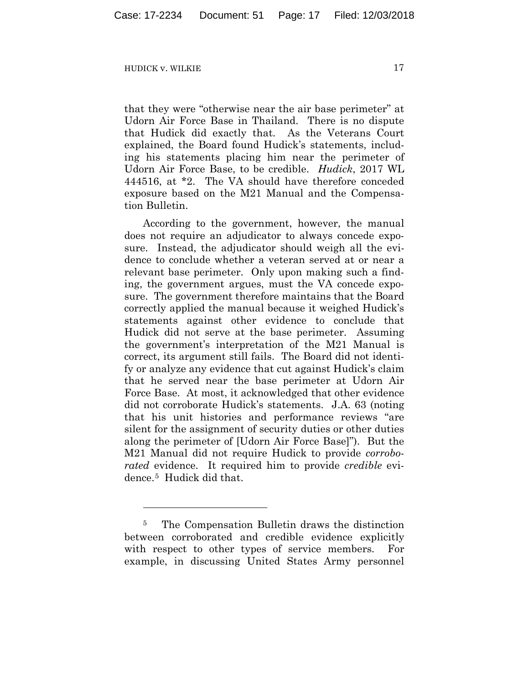<u>.</u>

that they were "otherwise near the air base perimeter" at Udorn Air Force Base in Thailand. There is no dispute that Hudick did exactly that. As the Veterans Court explained, the Board found Hudick's statements, including his statements placing him near the perimeter of Udorn Air Force Base, to be credible. *Hudick*, 2017 WL 444516, at \*2. The VA should have therefore conceded exposure based on the M21 Manual and the Compensation Bulletin.

According to the government, however, the manual does not require an adjudicator to always concede exposure. Instead, the adjudicator should weigh all the evidence to conclude whether a veteran served at or near a relevant base perimeter. Only upon making such a finding, the government argues, must the VA concede exposure. The government therefore maintains that the Board correctly applied the manual because it weighed Hudick's statements against other evidence to conclude that Hudick did not serve at the base perimeter. Assuming the government's interpretation of the M21 Manual is correct, its argument still fails. The Board did not identify or analyze any evidence that cut against Hudick's claim that he served near the base perimeter at Udorn Air Force Base. At most, it acknowledged that other evidence did not corroborate Hudick's statements. J.A. 63 (noting that his unit histories and performance reviews "are silent for the assignment of security duties or other duties along the perimeter of [Udorn Air Force Base]"). But the M21 Manual did not require Hudick to provide *corroborated* evidence. It required him to provide *credible* evidence.5 Hudick did that.

<sup>5</sup> The Compensation Bulletin draws the distinction between corroborated and credible evidence explicitly with respect to other types of service members. For example, in discussing United States Army personnel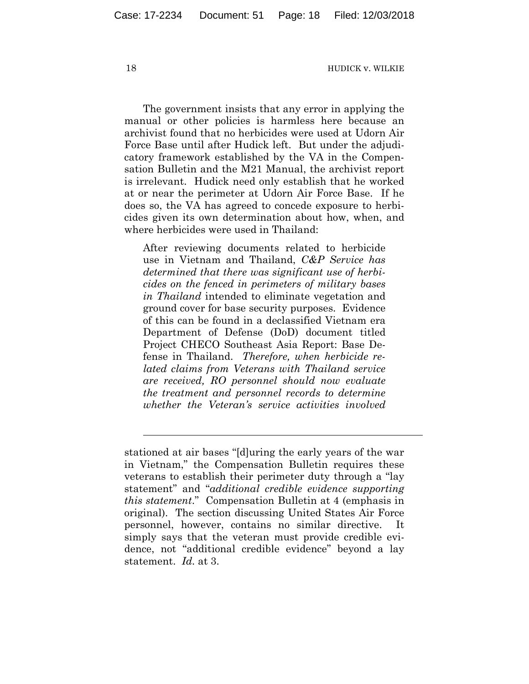The government insists that any error in applying the manual or other policies is harmless here because an archivist found that no herbicides were used at Udorn Air Force Base until after Hudick left. But under the adjudicatory framework established by the VA in the Compensation Bulletin and the M21 Manual, the archivist report is irrelevant. Hudick need only establish that he worked at or near the perimeter at Udorn Air Force Base. If he does so, the VA has agreed to concede exposure to herbicides given its own determination about how, when, and where herbicides were used in Thailand:

After reviewing documents related to herbicide use in Vietnam and Thailand, *C&P Service has determined that there was significant use of herbicides on the fenced in perimeters of military bases in Thailand* intended to eliminate vegetation and ground cover for base security purposes. Evidence of this can be found in a declassified Vietnam era Department of Defense (DoD) document titled Project CHECO Southeast Asia Report: Base Defense in Thailand. *Therefore, when herbicide related claims from Veterans with Thailand service are received, RO personnel should now evaluate the treatment and personnel records to determine whether the Veteran's service activities involved* 

 $\overline{a}$ 

stationed at air bases "[d]uring the early years of the war in Vietnam," the Compensation Bulletin requires these veterans to establish their perimeter duty through a "lay statement" and "*additional credible evidence supporting this statement*." Compensation Bulletin at 4 (emphasis in original). The section discussing United States Air Force personnel, however, contains no similar directive. It simply says that the veteran must provide credible evidence, not "additional credible evidence" beyond a lay statement. *Id.* at 3.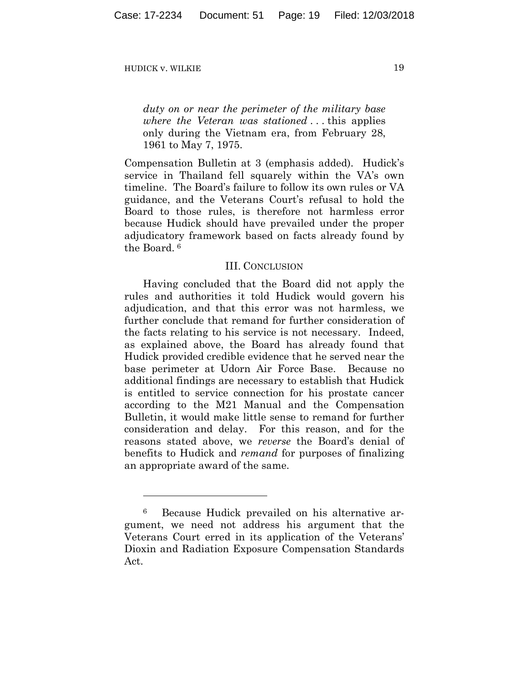1

*duty on or near the perimeter of the military base where the Veteran was stationed* . . . this applies only during the Vietnam era, from February 28, 1961 to May 7, 1975.

Compensation Bulletin at 3 (emphasis added). Hudick's service in Thailand fell squarely within the VA's own timeline. The Board's failure to follow its own rules or VA guidance, and the Veterans Court's refusal to hold the Board to those rules, is therefore not harmless error because Hudick should have prevailed under the proper adjudicatory framework based on facts already found by the Board. <sup>6</sup>

#### III. CONCLUSION

Having concluded that the Board did not apply the rules and authorities it told Hudick would govern his adjudication, and that this error was not harmless, we further conclude that remand for further consideration of the facts relating to his service is not necessary. Indeed, as explained above, the Board has already found that Hudick provided credible evidence that he served near the base perimeter at Udorn Air Force Base. Because no additional findings are necessary to establish that Hudick is entitled to service connection for his prostate cancer according to the M21 Manual and the Compensation Bulletin, it would make little sense to remand for further consideration and delay. For this reason, and for the reasons stated above, we *reverse* the Board's denial of benefits to Hudick and *remand* for purposes of finalizing an appropriate award of the same.

<sup>6</sup> Because Hudick prevailed on his alternative argument, we need not address his argument that the Veterans Court erred in its application of the Veterans' Dioxin and Radiation Exposure Compensation Standards Act.